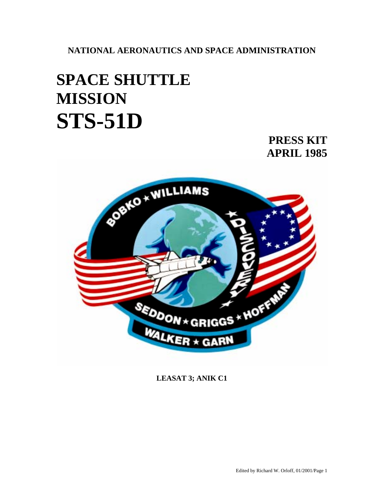**NATIONAL AERONAUTICS AND SPACE ADMINISTRATION** 

# **SPACE SHUTTLE MISSION STS-51D**

## **PRESS KIT APRIL 1985**



**LEASAT 3; ANIK C1**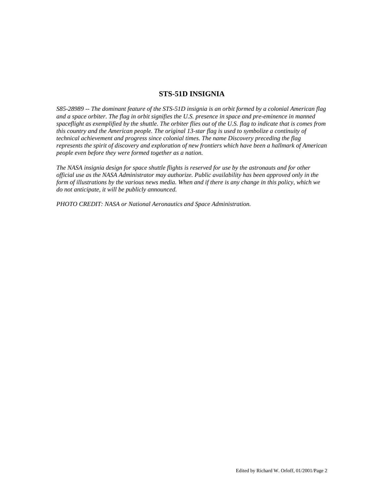## **STS-51D INSIGNIA**

*S85-28989 -- The dominant feature of the STS-51D insignia is an orbit formed by a colonial American flag and a space orbiter. The flag in orbit signifies the U.S. presence in space and pre-eminence in manned spaceflight as exemplified by the shuttle. The orbiter flies out of the U.S. flag to indicate that is comes from this country and the American people. The original 13-star flag is used to symbolize a continuity of technical achievement and progress since colonial times. The name Discovery preceding the flag represents the spirit of discovery and exploration of new frontiers which have been a hallmark of American people even before they were formed together as a nation.* 

*The NASA insignia design for space shuttle flights is reserved for use by the astronauts and for other official use as the NASA Administrator may authorize. Public availability has been approved only in the form of illustrations by the various news media. When and if there is any change in this policy, which we do not anticipate, it will be publicly announced.* 

*PHOTO CREDIT: NASA or National Aeronautics and Space Administration.*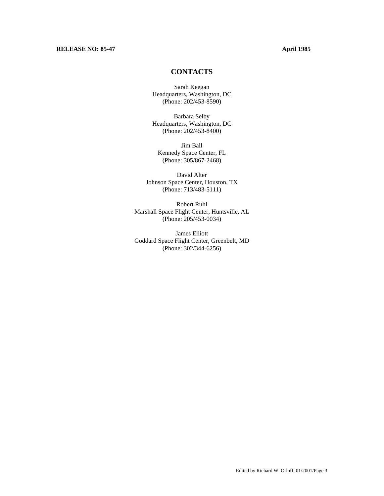## **RELEASE NO: 85-47 April 1985**

## **CONTACTS**

Sarah Keegan Headquarters, Washington, DC (Phone: 202/453-8590)

Barbara Selby Headquarters, Washington, DC (Phone: 202/453-8400)

Jim Ball Kennedy Space Center, FL (Phone: 305/867-2468)

David Alter Johnson Space Center, Houston, TX (Phone: 713/483-5111)

Robert Ruhl Marshall Space Flight Center, Huntsville, AL (Phone: 205/453-0034)

James Elliott Goddard Space Flight Center, Greenbelt, MD (Phone: 302/344-6256)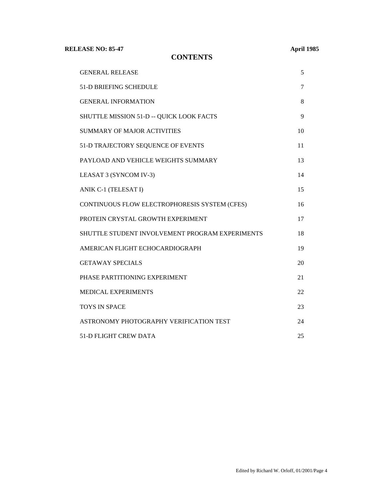**RELEASE NO: 85-47** 

**CONTENTS** 

| <b>April 1985</b> |
|-------------------|
|-------------------|

| <b>GENERAL RELEASE</b>                          | 5  |
|-------------------------------------------------|----|
| 51-D BRIEFING SCHEDULE                          | 7  |
| <b>GENERAL INFORMATION</b>                      | 8  |
| SHUTTLE MISSION 51-D -- QUICK LOOK FACTS        | 9  |
| <b>SUMMARY OF MAJOR ACTIVITIES</b>              | 10 |
| 51-D TRAJECTORY SEQUENCE OF EVENTS              | 11 |
| PAYLOAD AND VEHICLE WEIGHTS SUMMARY             | 13 |
| LEASAT 3 (SYNCOM IV-3)                          | 14 |
| ANIK C-1 (TELESAT I)                            | 15 |
| CONTINUOUS FLOW ELECTROPHORESIS SYSTEM (CFES)   | 16 |
| PROTEIN CRYSTAL GROWTH EXPERIMENT               | 17 |
| SHUTTLE STUDENT INVOLVEMENT PROGRAM EXPERIMENTS | 18 |
| AMERICAN FLIGHT ECHOCARDIOGRAPH                 | 19 |
| <b>GETAWAY SPECIALS</b>                         | 20 |
| PHASE PARTITIONING EXPERIMENT                   | 21 |
| MEDICAL EXPERIMENTS                             | 22 |
| <b>TOYS IN SPACE</b>                            | 23 |
| ASTRONOMY PHOTOGRAPHY VERIFICATION TEST         | 24 |
| <b>51-D FLIGHT CREW DATA</b>                    | 25 |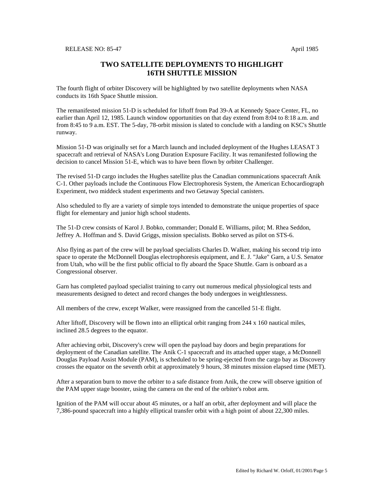## **TWO SATELLITE DEPLOYMENTS TO HIGHLIGHT 16TH SHUTTLE MISSION**

The fourth flight of orbiter Discovery will be highlighted by two satellite deployments when NASA conducts its 16th Space Shuttle mission.

The remanifested mission 51-D is scheduled for liftoff from Pad 39-A at Kennedy Space Center, FL, no earlier than April 12, 1985. Launch window opportunities on that day extend from 8:04 to 8:18 a.m. and from 8:45 to 9 a.m. EST. The 5-day, 78-orbit mission is slated to conclude with a landing on KSC's Shuttle runway.

Mission 51-D was originally set for a March launch and included deployment of the Hughes LEASAT 3 spacecraft and retrieval of NASA's Long Duration Exposure Facility. It was remanifested following the decision to cancel Mission 51-E, which was to have been flown by orbiter Challenger.

The revised 51-D cargo includes the Hughes satellite plus the Canadian communications spacecraft Anik C-1. Other payloads include the Continuous Flow Electrophoresis System, the American Echocardiograph Experiment, two middeck student experiments and two Getaway Special canisters.

Also scheduled to fly are a variety of simple toys intended to demonstrate the unique properties of space flight for elementary and junior high school students.

The 51-D crew consists of Karol J. Bobko, commander; Donald E. Williams, pilot; M. Rhea Seddon, Jeffrey A. Hoffman and S. David Griggs, mission specialists. Bobko served as pilot on STS-6.

Also flying as part of the crew will be payload specialists Charles D. Walker, making his second trip into space to operate the McDonnell Douglas electrophoresis equipment, and E. J. "Jake" Garn, a U.S. Senator from Utah, who will be the first public official to fly aboard the Space Shuttle. Garn is onboard as a Congressional observer.

Garn has completed payload specialist training to carry out numerous medical physiological tests and measurements designed to detect and record changes the body undergoes in weightlessness.

All members of the crew, except Walker, were reassigned from the cancelled 51-E flight.

After liftoff, Discovery will be flown into an elliptical orbit ranging from 244 x 160 nautical miles, inclined 28.5 degrees to the equator.

After achieving orbit, Discovery's crew will open the payload bay doors and begin preparations for deployment of the Canadian satellite. The Anik C-1 spacecraft and its attached upper stage, a McDonnell Douglas Payload Assist Module (PAM), is scheduled to be spring-ejected from the cargo bay as Discovery crosses the equator on the seventh orbit at approximately 9 hours, 38 minutes mission elapsed time (MET).

After a separation burn to move the orbiter to a safe distance from Anik, the crew will observe ignition of the PAM upper stage booster, using the camera on the end of the orbiter's robot arm.

Ignition of the PAM will occur about 45 minutes, or a half an orbit, after deployment and will place the 7,386-pound spacecraft into a highly elliptical transfer orbit with a high point of about 22,300 miles.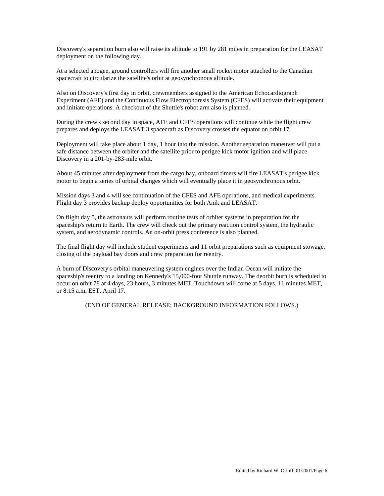Discovery's separation burn also will raise its altitude to 191 by 281 miles in preparation for the LEASAT deployment on the following day.

At a selected apogee, ground controllers will fire another small rocket motor attached to the Canadian spacecraft to circularize the satellite's orbit at geosynchronous altitude.

Also on Discovery's first day in orbit, crewmembers assigned to the American Echocardiograph Experiment (AFE) and the Continuous Flow Electrophoresis System (CFES) will activate their equipment and initiate operations. A checkout of the Shuttle's robot arm also is planned.

During the crew's second day in space, AFE and CFES operations will continue while the flight crew prepares and deploys the LEASAT 3 spacecraft as Discovery crosses the equator on orbit 17.

Deployment will take place about 1 day, 1 hour into the mission. Another separation maneuver will put a safe distance between the orbiter and the satellite prior to perigee kick motor ignition and will place Discovery in a 201-by-283-mile orbit.

About 45 minutes after deployment from the cargo bay, onboard timers will fire LEASAT's perigee kick motor to begin a series of orbital changes which will eventually place it in geosynchronous orbit.

Mission days 3 and 4 will see continuation of the CFES and AFE operations, and medical experiments. Flight day 3 provides backup deploy opportunities for both Anik and LEASAT.

On flight day 5, the astronauts will perform routine tests of orbiter systems in preparation for the spaceship's return to Earth. The crew will check out the primary reaction control system, the hydraulic system, and aerodynamic controls. An on-orbit press conference is also planned.

The final flight day will include student experiments and 11 orbit preparations such as equipment stowage, closing of the payload bay doors and crew preparation for reentry.

A burn of Discovery's orbital maneuvering system engines over the Indian Ocean will initiate the spaceship's reentry to a landing on Kennedy's 15,000-foot Shuttle runway. The deorbit burn is scheduled to occur on orbit 78 at 4 days, 23 hours, 3 minutes MET. Touchdown will come at 5 days, 11 minutes MET, or 8:15 a.m. EST, April 17.

(END OF GENERAL RELEASE; BACKGROUND INFORMATION FOLLOWS.)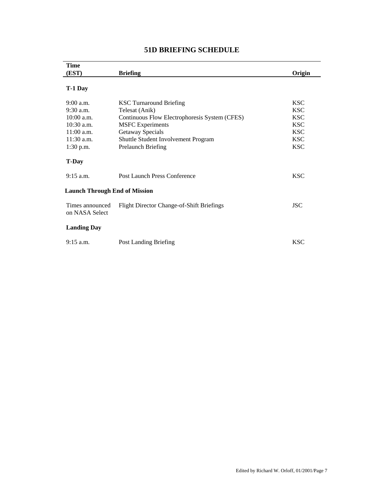| <b>Time</b>                                                                                                    |                                                                           |                          |
|----------------------------------------------------------------------------------------------------------------|---------------------------------------------------------------------------|--------------------------|
| (EST)                                                                                                          | <b>Briefing</b>                                                           | Origin                   |
|                                                                                                                |                                                                           |                          |
| T-1 Day                                                                                                        |                                                                           |                          |
|                                                                                                                |                                                                           |                          |
| $9:00$ a.m.                                                                                                    | <b>KSC Turnaround Briefing</b>                                            | <b>KSC</b>               |
| $9:30$ a.m.                                                                                                    | Telesat (Anik)                                                            | <b>KSC</b>               |
| $10:00$ a.m.                                                                                                   | Continuous Flow Electrophoresis System (CFES)                             | <b>KSC</b>               |
| $10:30$ a.m.                                                                                                   | <b>MSFC</b> Experiments                                                   | <b>KSC</b>               |
| $11:00$ a.m.                                                                                                   | Getaway Specials                                                          | <b>KSC</b>               |
| $11:30$ a.m.                                                                                                   | Shuttle Student Involvement Program                                       | <b>KSC</b>               |
| 1:30 p.m.                                                                                                      | Prelaunch Briefing                                                        | <b>KSC</b>               |
|                                                                                                                |                                                                           |                          |
| <b>T-Day</b>                                                                                                   |                                                                           |                          |
|                                                                                                                |                                                                           |                          |
|                                                                                                                |                                                                           |                          |
|                                                                                                                |                                                                           |                          |
|                                                                                                                |                                                                           |                          |
|                                                                                                                |                                                                           |                          |
|                                                                                                                |                                                                           |                          |
|                                                                                                                |                                                                           |                          |
|                                                                                                                |                                                                           |                          |
|                                                                                                                |                                                                           |                          |
| $9:15$ a.m.                                                                                                    | Post Landing Briefing                                                     | <b>KSC</b>               |
| $9:15$ a.m.<br><b>Launch Through End of Mission</b><br>Times announced<br>on NASA Select<br><b>Landing Day</b> | Post Launch Press Conference<br>Flight Director Change-of-Shift Briefings | <b>KSC</b><br><b>JSC</b> |

## **51D BRIEFING SCHEDULE**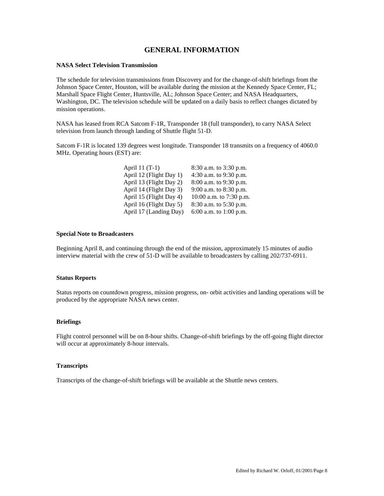## **GENERAL INFORMATION**

## **NASA Select Television Transmission**

The schedule for television transmissions from Discovery and for the change-of-shift briefings from the Johnson Space Center, Houston, will be available during the mission at the Kennedy Space Center, FL; Marshall Space Flight Center, Huntsville, AL; Johnson Space Center; and NASA Headquarters, Washington, DC. The television schedule will be updated on a daily basis to reflect changes dictated by mission operations.

NASA has leased from RCA Satcom F-1R, Transponder 18 (full transponder), to carry NASA Select television from launch through landing of Shuttle flight 51-D.

Satcom F-1R is located 139 degrees west longitude. Transponder 18 transmits on a frequency of 4060.0 MHz. Operating hours (EST) are:

| April 11 (T-1)          | 8:30 a.m. to 3:30 p.m.  |
|-------------------------|-------------------------|
| April 12 (Flight Day 1) | 4:30 a.m. to 9:30 p.m.  |
| April 13 (Flight Day 2) | 8:00 a.m. to 9:30 p.m.  |
| April 14 (Flight Day 3) | 9:00 a.m. to 8:30 p.m.  |
| April 15 (Flight Day 4) | 10:00 a.m. to 7:30 p.m. |
| April 16 (Flight Day 5) | 8:30 a.m. to 5:30 p.m.  |
| April 17 (Landing Day)  | 6:00 a.m. to 1:00 p.m.  |
|                         |                         |

### **Special Note to Broadcasters**

Beginning April 8, and continuing through the end of the mission, approximately 15 minutes of audio interview material with the crew of 51-D will be available to broadcasters by calling 202/737-6911.

## **Status Reports**

Status reports on countdown progress, mission progress, on- orbit activities and landing operations will be produced by the appropriate NASA news center.

### **Briefings**

Flight control personnel will be on 8-hour shifts. Change-of-shift briefings by the off-going flight director will occur at approximately 8-hour intervals.

### **Transcripts**

Transcripts of the change-of-shift briefings will be available at the Shuttle news centers.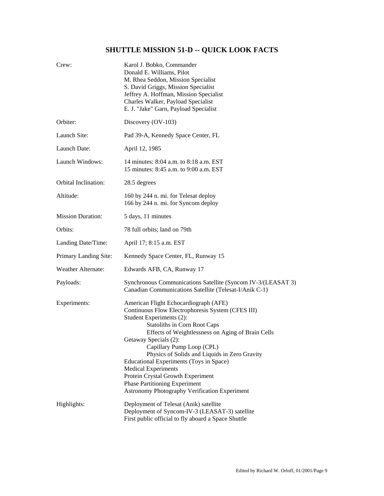## **SHUTTLE MISSION 51-D -- QUICK LOOK FACTS**

| Crew:                    | Karol J. Bobko, Commander<br>Donald E. Williams, Pilot<br>M. Rhea Seddon, Mission Specialist<br>S. David Griggs, Mission Specialist<br>Jeffrey A. Hoffman, Mission Specialist<br>Charles Walker, Payload Specialist<br>E. J. "Jake" Garn, Payload Specialist                                                                                                                                                                                                                                                                     |  |  |
|--------------------------|----------------------------------------------------------------------------------------------------------------------------------------------------------------------------------------------------------------------------------------------------------------------------------------------------------------------------------------------------------------------------------------------------------------------------------------------------------------------------------------------------------------------------------|--|--|
| Orbiter:                 | Discovery (OV-103)                                                                                                                                                                                                                                                                                                                                                                                                                                                                                                               |  |  |
| Launch Site:             | Pad 39-A, Kennedy Space Center, FL                                                                                                                                                                                                                                                                                                                                                                                                                                                                                               |  |  |
| Launch Date:             | April 12, 1985                                                                                                                                                                                                                                                                                                                                                                                                                                                                                                                   |  |  |
| Launch Windows:          | 14 minutes: 8:04 a.m. to 8:18 a.m. EST<br>15 minutes: 8:45 a.m. to 9:00 a.m. EST                                                                                                                                                                                                                                                                                                                                                                                                                                                 |  |  |
| Orbital Inclination:     | 28.5 degrees                                                                                                                                                                                                                                                                                                                                                                                                                                                                                                                     |  |  |
| Altitude:                | 160 by 244 n. mi. for Telesat deploy<br>166 by 244 n. mi. for Syncom deploy                                                                                                                                                                                                                                                                                                                                                                                                                                                      |  |  |
| <b>Mission Duration:</b> | 5 days, 11 minutes                                                                                                                                                                                                                                                                                                                                                                                                                                                                                                               |  |  |
| Orbits:                  | 78 full orbits; land on 79th                                                                                                                                                                                                                                                                                                                                                                                                                                                                                                     |  |  |
| Landing Date/Time:       | April 17; 8:15 a.m. EST                                                                                                                                                                                                                                                                                                                                                                                                                                                                                                          |  |  |
| Primary Landing Site:    | Kennedy Space Center, FL, Runway 15                                                                                                                                                                                                                                                                                                                                                                                                                                                                                              |  |  |
| Weather Alternate:       | Edwards AFB, CA, Runway 17                                                                                                                                                                                                                                                                                                                                                                                                                                                                                                       |  |  |
| Payloads:                | Synchronous Communications Satellite (Syncom IV-3/(LEASAT 3)<br>Canadian Communications Satellite (Telesat-I/Anik C-1)                                                                                                                                                                                                                                                                                                                                                                                                           |  |  |
| Experiments:             | American Flight Echocardiograph (AFE)<br>Continuous Flow Electrophoresis System (CFES III)<br>Student Experiments (2):<br><b>Statoliths in Corn Root Caps</b><br>Effects of Weightlessness on Aging of Brain Cells<br>Getaway Specials (2):<br>Capillary Pump Loop (CPL)<br>Physics of Solids and Liquids in Zero Gravity<br>Educational Experiments (Toys in Space)<br><b>Medical Experiments</b><br>Protein Crystal Growth Experiment<br><b>Phase Partitioning Experiment</b><br>Astronomy Photography Verification Experiment |  |  |
| Highlights:              | Deployment of Telesat (Anik) satellite<br>Deployment of Syncom-IV-3 (LEASAT-3) satellite<br>First public official to fly aboard a Space Shuttle                                                                                                                                                                                                                                                                                                                                                                                  |  |  |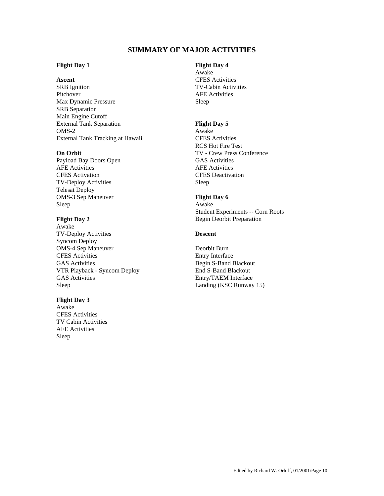## **SUMMARY OF MAJOR ACTIVITIES**

## **Flight Day 1** Flight Day 4

SRB Ignition TV-Cabin Activities Pitchover **AFE** Activities Max Dynamic Pressure Sleep SRB Separation Main Engine Cutoff External Tank Separation **Flight Day 5** OMS-2 Awake<br>External Tank Tracking at Hawaii **External Tank Tracking at Hawaii** CFES Activities External Tank Tracking at Hawaii

Payload Bay Doors Open GAS Activities AFE Activities AFE Activities CFES Activation CFES Deactivation TV-Deploy Activities Sleep Telesat Deploy OMS-3 Sep Maneuver **Flight Day 6**  Sleep Awake

Awake TV-Deploy Activities **Descent**  Syncom Deploy OMS-4 Sep Maneuver Deorbit Burn<br>
CFES Activities Deorbit Burn<br>
Deorbit Burn GAS Activities<br>
VTR Playback - Syncom Deploy<br>
End S-Band Blackout<br>
End S-Band Blackout VTR Playback - Syncom Deploy GAS Activities Entry/TAEM Interface Sleep Landing (KSC Runway 15)

## **Flight Day 3**

Awake CFES Activities TV Cabin Activities AFE Activities Sleep

 Awake Ascent **CFES** Activities

 RCS Hot Fire Test **On Orbit TV** - Crew Press Conference

 Student Experiments -- Corn Roots **Flight Day 2 Begin Deorbit Preparation** 

Entry Interface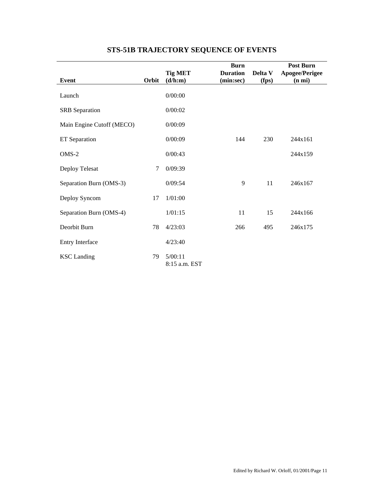|                           |       | <b>Tig MET</b>           | <b>Burn</b><br><b>Duration</b> | Delta V | <b>Post Burn</b><br>Apogee/Perigee |
|---------------------------|-------|--------------------------|--------------------------------|---------|------------------------------------|
| Event                     | Orbit | (d/h:m)                  | (min:sec)                      | (fps)   | (n mi)                             |
| Launch                    |       | 0/00:00                  |                                |         |                                    |
| <b>SRB</b> Separation     |       | 0/00:02                  |                                |         |                                    |
| Main Engine Cutoff (MECO) |       | 0/00:09                  |                                |         |                                    |
| ET Separation             |       | 0/00:09                  | 144                            | 230     | 244x161                            |
| $OMS-2$                   |       | 0/00:43                  |                                |         | 244x159                            |
| Deploy Telesat            | 7     | 0/09:39                  |                                |         |                                    |
| Separation Burn (OMS-3)   |       | 0/09:54                  | 9                              | 11      | 246x167                            |
| Deploy Syncom             | 17    | 1/01:00                  |                                |         |                                    |
| Separation Burn (OMS-4)   |       | 1/01:15                  | 11                             | 15      | 244x166                            |
| Deorbit Burn              | 78    | 4/23:03                  | 266                            | 495     | 246x175                            |
| Entry Interface           |       | 4/23:40                  |                                |         |                                    |
| <b>KSC</b> Landing        | 79    | 5/00:11<br>8:15 a.m. EST |                                |         |                                    |

## **STS-51B TRAJECTORY SEQUENCE OF EVENTS**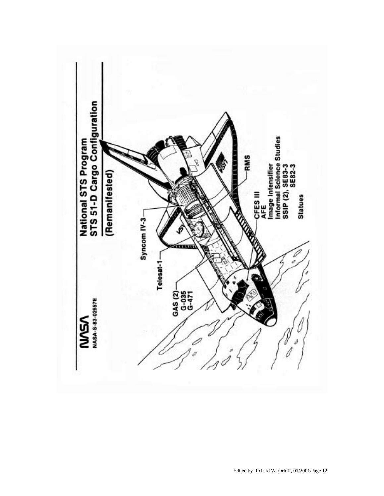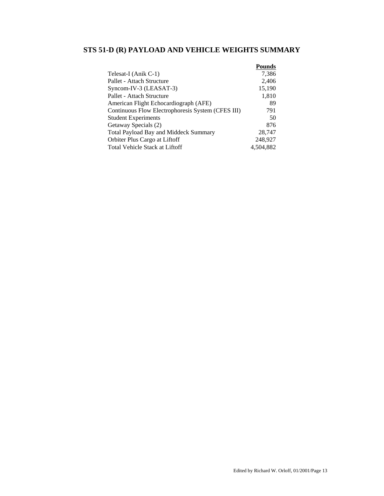## **STS 51-D (R) PAYLOAD AND VEHICLE WEIGHTS SUMMARY**

|                                                   | <b>Pounds</b> |
|---------------------------------------------------|---------------|
| Telesat-I (Anik C-1)                              | 7,386         |
| Pallet - Attach Structure                         | 2,406         |
| Syncom-IV-3 (LEASAT-3)                            | 15,190        |
| Pallet - Attach Structure                         | 1,810         |
| American Flight Echocardiograph (AFE)             | 89            |
| Continuous Flow Electrophoresis System (CFES III) | 791           |
| <b>Student Experiments</b>                        | 50            |
| Getaway Specials (2)                              | 876           |
| Total Payload Bay and Middeck Summary             | 28,747        |
| Orbiter Plus Cargo at Liftoff                     | 248,927       |
| Total Vehicle Stack at Liftoff                    | 4.504.882     |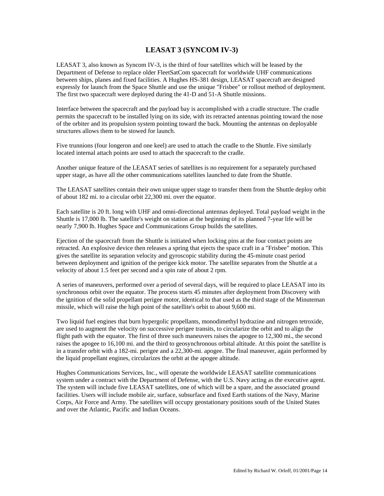## **LEASAT 3 (SYNCOM IV-3)**

LEASAT 3, also known as Syncom IV-3, is the third of four satellites which will be leased by the Department of Defense to replace older FleetSatCom spacecraft for worldwide UHF communications between ships, planes and fixed facilities. A Hughes HS-381 design, LEASAT spacecraft are designed expressly for launch from the Space Shuttle and use the unique "Frisbee" or rollout method of deployment. The first two spacecraft were deployed during the 41-D and 51-A Shuttle missions.

Interface between the spacecraft and the payload bay is accomplished with a cradle structure. The cradle permits the spacecraft to be installed lying on its side, with its retracted antennas pointing toward the nose of the orbiter and its propulsion system pointing toward the back. Mounting the antennas on deployable structures allows them to be stowed for launch.

Five trunnions (four longeron and one keel) are used to attach the cradle to the Shuttle. Five similarly located internal attach points are used to attach the spacecraft to the cradle.

Another unique feature of the LEASAT series of satellites is no requirement for a separately purchased upper stage, as have all the other communications satellites launched to date from the Shuttle.

The LEASAT satellites contain their own unique upper stage to transfer them from the Shuttle deploy orbit of about 182 mi. to a circular orbit 22,300 mi. over the equator.

Each satellite is 20 ft. long with UHF and omni-directional antennas deployed. Total payload weight in the Shuttle is 17,000 lb. The satellite's weight on station at the beginning of its planned 7-year life will be nearly 7,900 lb. Hughes Space and Communications Group builds the satellites.

Ejection of the spacecraft from the Shuttle is initiated when locking pins at the four contact points are retracted. An explosive device then releases a spring that ejects the space craft in a "Frisbee" motion. This gives the satellite its separation velocity and gyroscopic stability during the 45-minute coast period between deployment and ignition of the perigee kick motor. The satellite separates from the Shuttle at a velocity of about 1.5 feet per second and a spin rate of about 2 rpm.

A series of maneuvers, performed over a period of several days, will be required to place LEASAT into its synchronous orbit over the equator. The process starts 45 minutes after deployment from Discovery with the ignition of the solid propellant perigee motor, identical to that used as the third stage of the Minuteman missile, which will raise the high point of the satellite's orbit to about 9,600 mi.

Two liquid fuel engines that burn hypergolic propellants, monodimethyl hydrazine and nitrogen tetroxide, are used to augment the velocity on successive perigee transits, to circularize the orbit and to align the flight path with the equator. The first of three such maneuvers raises the apogee to 12,300 mi., the second raises the apogee to 16,100 mi. and the third to geosynchronous orbital altitude. At this point the satellite is in a transfer orbit with a 182-mi. perigee and a 22,300-mi. apogee. The final maneuver, again performed by the liquid propellant engines, circularizes the orbit at the apogee altitude.

Hughes Communications Services, Inc., will operate the worldwide LEASAT satellite communications system under a contract with the Department of Defense, with the U.S. Navy acting as the executive agent. The system will include five LEASAT satellites, one of which will be a spare, and the associated ground facilities. Users will include mobile air, surface, subsurface and fixed Earth stations of the Navy, Marine Corps, Air Force and Army. The satellites will occupy geostationary positions south of the United States and over the Atlantic, Pacific and Indian Oceans.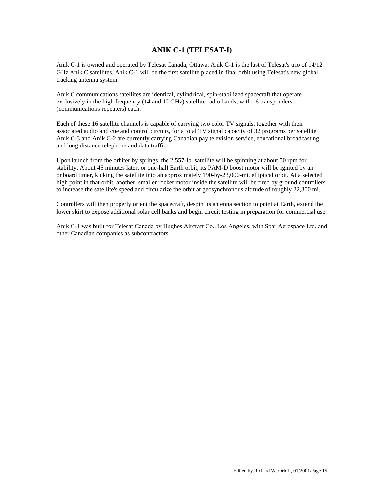## **ANIK C-1 (TELESAT-I)**

Anik C-1 is owned and operated by Telesat Canada, Ottawa. Anik C-1 is the last of Telesat's trio of 14/12 GHz Anik C satellites. Anik C-1 will be the first satellite placed in final orbit using Telesat's new global tracking antenna system.

Anik C communications satellites are identical, cylindrical, spin-stabilized spacecraft that operate exclusively in the high frequency (14 and 12 GHz) satellite radio bands, with 16 transponders (communications repeaters) each.

Each of these 16 satellite channels is capable of carrying two color TV signals, together with their associated audio and cue and control circuits, for a total TV signal capacity of 32 programs per satellite. Anik C-3 and Anik C-2 are currently carrying Canadian pay television service, educational broadcasting and long distance telephone and data traffic.

Upon launch from the orbiter by springs, the 2,557-lb. satellite will be spinning at about 50 rpm for stability. About 45 minutes later, or one-half Earth orbit, its PAM-D boost motor will be ignited by an onboard timer, kicking the satellite into an approximately 190-by-23,000-mi. elliptical orbit. At a selected high point in that orbit, another, smaller rocket motor inside the satellite will be fired by ground controllers to increase the satellite's speed and circularize the orbit at geosynchronous altitude of roughly 22,300 mi.

Controllers will then properly orient the spacecraft, despin its antenna section to point at Earth, extend the lower skirt to expose additional solar cell banks and begin circuit testing in preparation for commercial use.

Anik C-1 was built for Telesat Canada by Hughes Aircraft Co., Los Angeles, with Spar Aerospace Ltd. and other Canadian companies as subcontractors.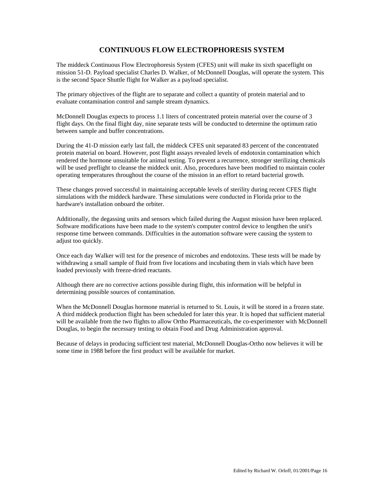## **CONTINUOUS FLOW ELECTROPHORESIS SYSTEM**

The middeck Continuous Flow Electrophoresis System (CFES) unit will make its sixth spaceflight on mission 51-D. Payload specialist Charles D. Walker, of McDonnell Douglas, will operate the system. This is the second Space Shuttle flight for Walker as a payload specialist.

The primary objectives of the flight are to separate and collect a quantity of protein material and to evaluate contamination control and sample stream dynamics.

McDonnell Douglas expects to process 1.1 liters of concentrated protein material over the course of 3 flight days. On the final flight day, nine separate tests will be conducted to determine the optimum ratio between sample and buffer concentrations.

During the 41-D mission early last fall, the middeck CFES unit separated 83 percent of the concentrated protein material on board. However, post flight assays revealed levels of endotoxin contamination which rendered the hormone unsuitable for animal testing. To prevent a recurrence, stronger sterilizing chemicals will be used preflight to cleanse the middeck unit. Also, procedures have been modified to maintain cooler operating temperatures throughout the course of the mission in an effort to retard bacterial growth.

These changes proved successful in maintaining acceptable levels of sterility during recent CFES flight simulations with the middeck hardware. These simulations were conducted in Florida prior to the hardware's installation onboard the orbiter.

Additionally, the degassing units and sensors which failed during the August mission have been replaced. Software modifications have been made to the system's computer control device to lengthen the unit's response time between commands. Difficulties in the automation software were causing the system to adjust too quickly.

Once each day Walker will test for the presence of microbes and endotoxins. These tests will be made by withdrawing a small sample of fluid from five locations and incubating them in vials which have been loaded previously with freeze-dried reactants.

Although there are no corrective actions possible during flight, this information will be helpful in determining possible sources of contamination.

When the McDonnell Douglas hormone material is returned to St. Louis, it will be stored in a frozen state. A third middeck production flight has been scheduled for later this year. It is hoped that sufficient material will be available from the two flights to allow Ortho Pharmaceuticals, the co-experimenter with McDonnell Douglas, to begin the necessary testing to obtain Food and Drug Administration approval.

Because of delays in producing sufficient test material, McDonnell Douglas-Ortho now believes it will be some time in 1988 before the first product will be available for market.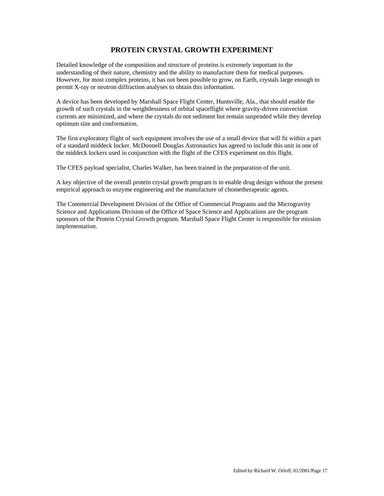## **PROTEIN CRYSTAL GROWTH EXPERIMENT**

Detailed knowledge of the composition and structure of proteins is extremely important to the understanding of their nature, chemistry and the ability to manufacture them for medical purposes. However, for most complex proteins, it has not been possible to grow, on Earth, crystals large enough to permit X-ray or neutron diffraction analyses to obtain this information.

A device has been developed by Marshall Space Flight Center, Huntsville, Ala., that should enable the growth of such crystals in the weightlessness of orbital spaceflight where gravity-driven convection currents are minimized, and where the crystals do not sediment but remain suspended while they develop optimum size and conformation.

The first exploratory flight of such equipment involves the use of a small device that will fit within a part of a standard middeck locker. McDonnell Douglas Astronautics has agreed to include this unit in one of the middeck lockers used in conjunction with the flight of the CFES experiment on this flight.

The CFES payload specialist, Charles Walker, has been trained in the preparation of the unit.

A key objective of the overall protein crystal growth program is to enable drug design without the present empirical approach to enzyme engineering and the manufacture of chometherapeutic agents.

The Commercial Development Division of the Office of Commercial Programs and the Microgravity Science and Applications Division of the Office of Space Science and Applications are the program sponsors of the Protein Crystal Growth program. Marshall Space Flight Center is responsible for mission implementation.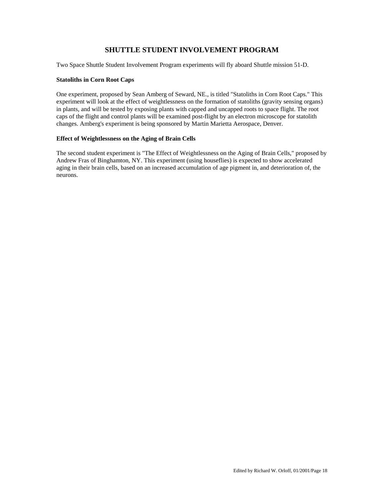## **SHUTTLE STUDENT INVOLVEMENT PROGRAM**

Two Space Shuttle Student Involvement Program experiments will fly aboard Shuttle mission 51-D.

## **Statoliths in Corn Root Caps**

One experiment, proposed by Sean Amberg of Seward, NE., is titled "Statoliths in Corn Root Caps." This experiment will look at the effect of weightlessness on the formation of statoliths (gravity sensing organs) in plants, and will be tested by exposing plants with capped and uncapped roots to space flight. The root caps of the flight and control plants will be examined post-flight by an electron microscope for statolith changes. Amberg's experiment is being sponsored by Martin Marietta Aerospace, Denver.

## **Effect of Weightlessness on the Aging of Brain Cells**

The second student experiment is "The Effect of Weightlessness on the Aging of Brain Cells," proposed by Andrew Fras of Binghamton, NY. This experiment (using houseflies) is expected to show accelerated aging in their brain cells, based on an increased accumulation of age pigment in, and deterioration of, the neurons.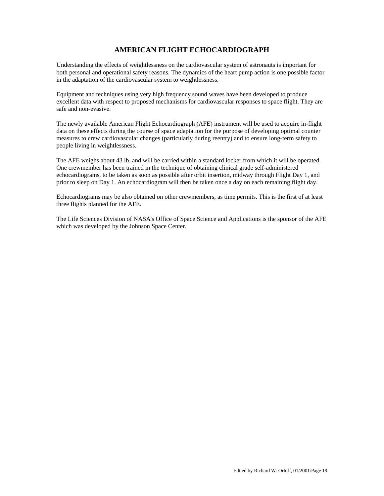## **AMERICAN FLIGHT ECHOCARDIOGRAPH**

Understanding the effects of weightlessness on the cardiovascular system of astronauts is important for both personal and operational safety reasons. The dynamics of the heart pump action is one possible factor in the adaptation of the cardiovascular system to weightlessness.

Equipment and techniques using very high frequency sound waves have been developed to produce excellent data with respect to proposed mechanisms for cardiovascular responses to space flight. They are safe and non-evasive.

The newly available American Flight Echocardiograph (AFE) instrument will be used to acquire in-flight data on these effects during the course of space adaptation for the purpose of developing optimal counter measures to crew cardiovascular changes (particularly during reentry) and to ensure long-term safety to people living in weightlessness.

The AFE weighs about 43 lb. and will be carried within a standard locker from which it will be operated. One crewmember has been trained in the technique of obtaining clinical grade self-administered echocardiograms, to be taken as soon as possible after orbit insertion, midway through Flight Day 1, and prior to sleep on Day 1. An echocardiogram will then be taken once a day on each remaining flight day.

Echocardiograms may be also obtained on other crewmembers, as time permits. This is the first of at least three flights planned for the AFE.

The Life Sciences Division of NASA's Office of Space Science and Applications is the sponsor of the AFE which was developed by the Johnson Space Center.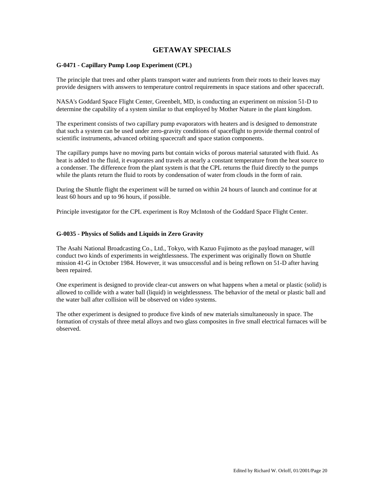## **GETAWAY SPECIALS**

## **G-0471 - Capillary Pump Loop Experiment (CPL)**

The principle that trees and other plants transport water and nutrients from their roots to their leaves may provide designers with answers to temperature control requirements in space stations and other spacecraft.

NASA's Goddard Space Flight Center, Greenbelt, MD, is conducting an experiment on mission 51-D to determine the capability of a system similar to that employed by Mother Nature in the plant kingdom.

The experiment consists of two capillary pump evaporators with heaters and is designed to demonstrate that such a system can be used under zero-gravity conditions of spaceflight to provide thermal control of scientific instruments, advanced orbiting spacecraft and space station components.

The capillary pumps have no moving parts but contain wicks of porous material saturated with fluid. As heat is added to the fluid, it evaporates and travels at nearly a constant temperature from the heat source to a condenser. The difference from the plant system is that the CPL returns the fluid directly to the pumps while the plants return the fluid to roots by condensation of water from clouds in the form of rain.

During the Shuttle flight the experiment will be turned on within 24 hours of launch and continue for at least 60 hours and up to 96 hours, if possible.

Principle investigator for the CPL experiment is Roy McIntosh of the Goddard Space Flight Center.

## **G-0035 - Physics of Solids and Liquids in Zero Gravity**

The Asahi National Broadcasting Co., Ltd., Tokyo, with Kazuo Fujimoto as the payload manager, will conduct two kinds of experiments in weightlessness. The experiment was originally flown on Shuttle mission 41-G in October 1984. However, it was unsuccessful and is being reflown on 51-D after having been repaired.

One experiment is designed to provide clear-cut answers on what happens when a metal or plastic (solid) is allowed to collide with a water ball (liquid) in weightlessness. The behavior of the metal or plastic ball and the water ball after collision will be observed on video systems.

The other experiment is designed to produce five kinds of new materials simultaneously in space. The formation of crystals of three metal alloys and two glass composites in five small electrical furnaces will be observed.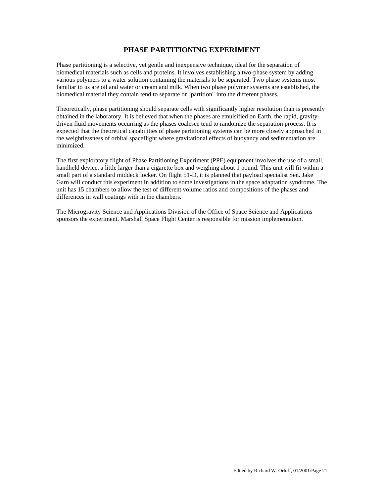## **PHASE PARTITIONING EXPERIMENT**

Phase partitioning is a selective, yet gentle and inexpensive technique, ideal for the separation of biomedical materials such as cells and proteins. It involves establishing a two-phase system by adding various polymers to a water solution containing the materials to be separated. Two phase systems most familiar to us are oil and water or cream and milk. When two phase polymer systems are established, the biomedical material they contain tend to separate or "partition" into the different phases.

Theoretically, phase partitioning should separate cells with significantly higher resolution than is presently obtained in the laboratory. It is believed that when the phases are emulsified on Earth, the rapid, gravitydriven fluid movements occurring as the phases coalesce tend to randomize the separation process. It is expected that the theoretical capabilities of phase partitioning systems can be more closely approached in the weightlessness of orbital spaceflight where gravitational effects of buoyancy and sedimentation are minimized.

The first exploratory flight of Phase Partitioning Experiment (PPE) equipment involves the use of a small, handheld device, a little larger than a cigarette box and weighing about 1 pound. This unit will fit within a small part of a standard middeck locker. On flight 51-D, it is planned that payload specialist Sen. Jake Garn will conduct this experiment in addition to some investigations in the space adaptation syndrome. The unit has 15 chambers to allow the test of different volume ratios and compositions of the phases and differences in wall coatings with in the chambers.

The Microgravity Science and Applications Division of the Office of Space Science and Applications sponsors the experiment. Marshall Space Flight Center is responsible for mission implementation.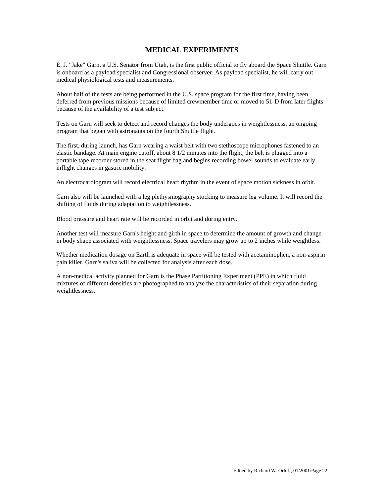## **MEDICAL EXPERIMENTS**

E. J. "Jake" Garn, a U.S. Senator from Utah, is the first public official to fly aboard the Space Shuttle. Garn is onboard as a payload specialist and Congressional observer. As payload specialist, he will carry out medical physiological tests and measurements.

About half of the tests are being performed in the U.S. space program for the first time, having been deferred from previous missions because of limited crewmember time or moved to 51-D from later flights because of the availability of a test subject.

Tests on Garn will seek to detect and record changes the body undergoes in weightlessness, an ongoing program that began with astronauts on the fourth Shuttle flight.

The first, during launch, has Garn wearing a waist belt with two stethoscope microphones fastened to an elastic bandage. At main engine cutoff, about 8 1/2 minutes into the flight, the belt is plugged into a portable tape recorder stored in the seat flight bag and begins recording bowel sounds to evaluate early inflight changes in gastric mobility.

An electrocardiogram will record electrical heart rhythm in the event of space motion sickness in orbit.

Garn also will be launched with a leg plethysmography stocking to measure leg volume. It will record the shifting of fluids during adaptation to weightlessness.

Blood pressure and heart rate will be recorded in orbit and during entry.

Another test will measure Garn's height and girth in space to determine the amount of growth and change in body shape associated with weightlessness. Space travelers may grow up to 2 inches while weightless.

Whether medication dosage on Earth is adequate in space will be tested with acetaminophen, a non-aspirin pain killer. Garn's saliva will be collected for analysis after each dose.

A non-medical activity planned for Garn is the Phase Partitioning Experiment (PPE) in which fluid mixtures of different densities are photographed to analyze the characteristics of their separation during weightlessness.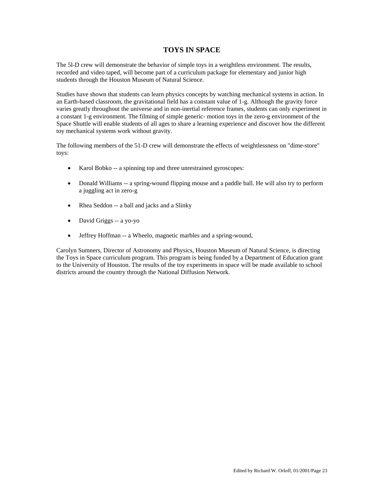## **TOYS IN SPACE**

The 5l-D crew will demonstrate the behavior of simple toys in a weightless environment. The results, recorded and video taped, will become part of a curriculum package for elementary and junior high students through the Houston Museum of Natural Science.

Studies have shown that students can learn physics concepts by watching mechanical systems in action. In an Earth-based classroom, the gravitational field has a constant value of 1-g. Although the gravity force varies greatly throughout the universe and in non-inertial reference frames, students can only experiment in a constant 1-g environment. The filming of simple generic- motion toys in the zero-g environment of the Space Shuttle will enable students of all ages to share a learning experience and discover how the different toy mechanical systems work without gravity.

The following members of the 51-D crew will demonstrate the effects of weightlessness on "dime-store" toys:

- Karol Bobko -- a spinning top and three unrestrained gyroscopes:
- Donald Williams -- a spring-wound flipping mouse and a paddle ball. He will also try to perform a juggling act in zero-g
- Rhea Seddon -- a ball and jacks and a Slinky
- David Griggs -- a yo-yo
- Jeffrey Hoffman -- a Wheelo, magnetic marbles and a spring-wound,

Carolyn Sumners, Director of Astronomy and Physics, Houston Museum of Natural Science, is directing the Toys in Space curriculum program. This program is being funded by a Department of Education grant to the University of Houston. The results of the toy experiments in space will be made available to school districts around the country through the National Diffusion Network.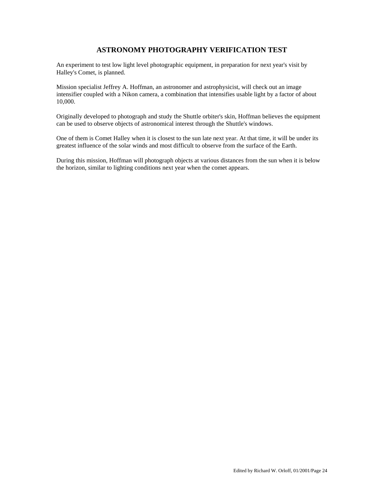## **ASTRONOMY PHOTOGRAPHY VERIFICATION TEST**

An experiment to test low light level photographic equipment, in preparation for next year's visit by Halley's Comet, is planned.

Mission specialist Jeffrey A. Hoffman, an astronomer and astrophysicist, will check out an image intensifier coupled with a Nikon camera, a combination that intensifies usable light by a factor of about 10,000.

Originally developed to photograph and study the Shuttle orbiter's skin, Hoffman believes the equipment can be used to observe objects of astronomical interest through the Shuttle's windows.

One of them is Comet Halley when it is closest to the sun late next year. At that time, it will be under its greatest influence of the solar winds and most difficult to observe from the surface of the Earth.

During this mission, Hoffman will photograph objects at various distances from the sun when it is below the horizon, similar to lighting conditions next year when the comet appears.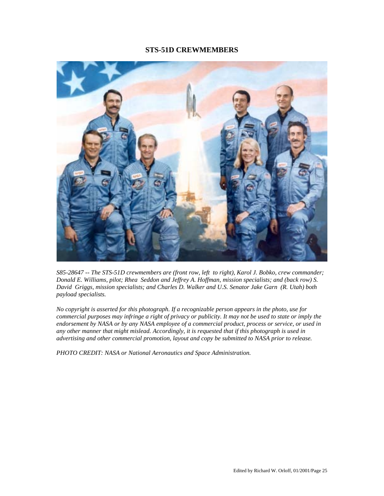## **STS-51D CREWMEMBERS**



*S85-28647 -- The STS-51D crewmembers are (front row, left to right), Karol J. Bobko, crew commander; Donald E. Williams, pilot; Rhea Seddon and Jeffrey A. Hoffman, mission specialists; and (back row) S. David Griggs, mission specialists; and Charles D. Walker and U.S. Senator Jake Garn (R. Utah) both payload specialists.* 

*No copyright is asserted for this photograph. If a recognizable person appears in the photo, use for commercial purposes may infringe a right of privacy or publicity. It may not be used to state or imply the endorsement by NASA or by any NASA employee of a commercial product, process or service, or used in any other manner that might mislead. Accordingly, it is requested that if this photograph is used in advertising and other commercial promotion, layout and copy be submitted to NASA prior to release.* 

*PHOTO CREDIT: NASA or National Aeronautics and Space Administration.*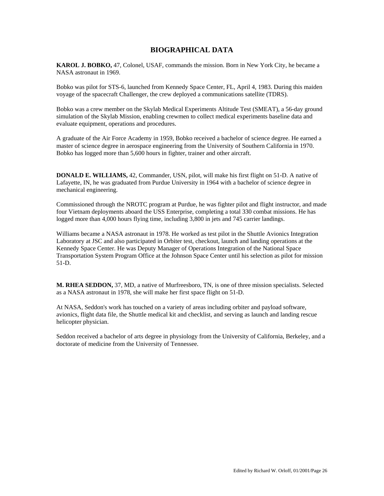## **BIOGRAPHICAL DATA**

**KAROL J. BOBKO,** 47, Colonel, USAF, commands the mission. Born in New York City, he became a NASA astronaut in 1969.

Bobko was pilot for STS-6, launched from Kennedy Space Center, FL, April 4, 1983. During this maiden voyage of the spacecraft Challenger, the crew deployed a communications satellite (TDRS).

Bobko was a crew member on the Skylab Medical Experiments Altitude Test (SMEAT), a 56-day ground simulation of the Skylab Mission, enabling crewmen to collect medical experiments baseline data and evaluate equipment, operations and procedures.

A graduate of the Air Force Academy in 1959, Bobko received a bachelor of science degree. He earned a master of science degree in aerospace engineering from the University of Southern California in 1970. Bobko has logged more than 5,600 hours in fighter, trainer and other aircraft.

**DONALD E. WILLIAMS,** 42, Commander, USN, pilot, will make his first flight on 51-D. A native of Lafayette, IN, he was graduated from Purdue University in 1964 with a bachelor of science degree in mechanical engineering.

Commissioned through the NROTC program at Purdue, he was fighter pilot and flight instructor, and made four Vietnam deployments aboard the USS Enterprise, completing a total 330 combat missions. He has logged more than 4,000 hours flying time, including 3,800 in jets and 745 carrier landings.

Williams became a NASA astronaut in 1978. He worked as test pilot in the Shuttle Avionics Integration Laboratory at JSC and also participated in Orbiter test, checkout, launch and landing operations at the Kennedy Space Center. He was Deputy Manager of Operations Integration of the National Space Transportation System Program Office at the Johnson Space Center until his selection as pilot for mission 51-D.

**M. RHEA SEDDON,** 37, MD, a native of Murfreesboro, TN, is one of three mission specialists. Selected as a NASA astronaut in 1978, she will make her first space flight on 51-D.

At NASA, Seddon's work has touched on a variety of areas including orbiter and payload software, avionics, flight data file, the Shuttle medical kit and checklist, and serving as launch and landing rescue helicopter physician.

Seddon received a bachelor of arts degree in physiology from the University of California, Berkeley, and a doctorate of medicine from the University of Tennessee.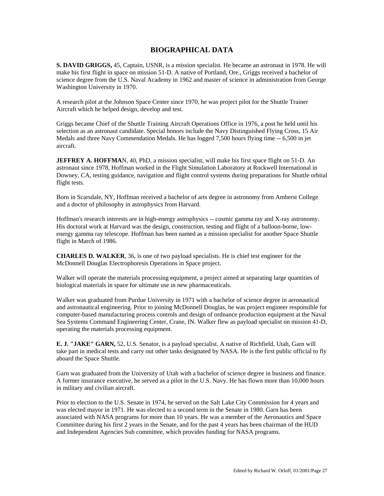## **BIOGRAPHICAL DATA**

**S. DAVID GRIGGS,** 45, Captain, USNR, is a mission specialist. He became an astronaut in 1978. He will make his first flight in space on mission 51-D. A native of Portland, Ore., Griggs received a bachelor of science degree from the U.S. Naval Academy in 1962 and master of science in administration from George Washington University in 1970.

A research pilot at the Johnson Space Center since 1970, he was project pilot for the Shuttle Trainer Aircraft which he helped design, develop and test.

Griggs became Chief of the Shuttle Training Aircraft Operations Office in 1976, a post he held until his selection as an astronaut candidate. Special honors include the Navy Distinguished Flying Cross, 15 Air Medals and three Navy Commendation Medals. He has logged 7,500 hours flying time -- 6,500 in jet aircraft.

**JEFFREY A. HOFFMA**N, 40, PhD, a mission specialist, will make his first space flight on 51-D. An astronaut since 1978, Hoffman worked in the Flight Simulation Laboratory at Rockwell International in Downey, CA, testing guidance, navigation and flight control systems during preparations for Shuttle orbital flight tests.

Born in Scarsdale, NY, Hoffman received a bachelor of arts degree in astronomy from Amherst College and a doctor of philosophy in astrophysics from Harvard.

Hoffman's research interests are in high-energy astrophysics -- cosmic gamma ray and X-ray astronomy. His doctoral work at Harvard was the design, construction, testing and flight of a balloon-borne, lowenergy gamma ray telescope. Hoffman has been named as a mission specialist for another Space Shuttle flight in March of 1986.

**CHARLES D. WALKER**, 36, is one of two payload specialists. He is chief test engineer for the McDonnell Douglas Electrophoresis Operations in Space project.

Walker will operate the materials processing equipment, a project aimed at separating large quantities of biological materials in space for ultimate use in new pharmaceuticals.

Walker was graduated from Purdue University in 1971 with a bachelor of science degree in aeronautical and astronautical engineering. Prior to joining McDonnell Douglas, he was project engineer responsible for computer-based manufacturing process controls and design of ordnance production equipment at the Naval Sea Systems Command Engineering Center, Crane, IN. Walker flew as payload specialist on mission 41-D, operating the materials processing equipment.

**E. J. "JAKE" GARN,** 52, U.S. Senator, is a payload specialist. A native of Richfield, Utah, Garn will take part in medical tests and carry out other tasks designated by NASA. He is the first public official to fly aboard the Space Shuttle.

Garn was graduated from the University of Utah with a bachelor of science degree in business and finance. A former insurance executive, he served as a pilot in the U.S. Navy. He has flown more than 10,000 hours in military and civilian aircraft.

Prior to election to the U.S. Senate in 1974, he served on the Salt Lake City Commission for 4 years and was elected mayor in 1971. He was elected to a second term in the Senate in 1980. Garn has been associated with NASA programs for more than 10 years. He was a member of the Aeronautics and Space Committee during his first 2 years in the Senate, and for the past 4 years has been chairman of the HUD and Independent Agencies Sub committee, which provides funding for NASA programs.